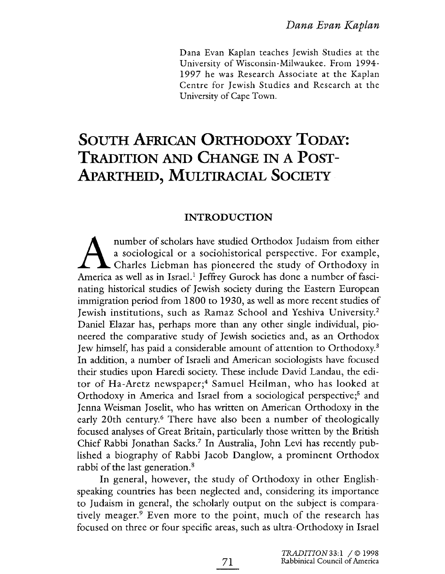Dana Evan Kaplan teaches Jewish Studies at the University of Wisconsin-Milwaukee. From 1994- 1997 he was Research Associate at the Kaplan Centre for Jewish Studies and Research at the University of Cape Town.

# SOUTH AFRICAN ORTHODOXY TODAY: TRADITION AND CHANGE IN A POST-APARTHEID, MULTIRACIAL SOCIETY

# INTRODUCTION

number of scholars have studied Orthodox Judaism from either a sociological or a sociohistorical perspective. For example,  $\perp$   $\perp$  Charles Liebman has pioneered the study of Orthodoxy in America as well as in Israel.<sup>1</sup> Jeffrey Gurock has done a number of fascinating historical studies of Jewish society during the Eastern European immigration period from 1800 to 1930, as well as more recent studies of Jewish institutions, such as Ramaz School and Yeshiva University.2 Daniel Elazar has, perhaps more than any other single individual, pioneered the comparative study of Jewish societies and, as an Orthodox Jew himself, has paid a considerable amount of attention to Orthodoxy.3 In addition, a number of Israeli and American sociologists have focused their studies upon Haredi society. These include David Landau, the editor of Ha-Aretz newspaper;<sup>4</sup> Samuel Heilman, who has looked at Orthodoxy in America and Israel from a sociological perspective;<sup>5</sup> and Jenna Weisman Joselit, who has written on American Orthodoxy in the early 20th century.<sup>6</sup> There have also been a number of theologically focused analyses of Great Britain, particularly those written by the British Chief Rabbi Jonathan Sacks? In Australia, John Levi has recently published a biography of Rabbi Jacob Danglow, a prominent Orthodox rabbi of the last generation.<sup>8</sup>

In general, however, the study of Orthodoxy in other Englishspeaking countries has been neglected and, considering its importance to Judaism in general, the scholarly output on the subject is comparatively meager.9 Even more to the point, much of the research has focused on three or four specific areas, such as ultra-Orthodoxy in Israel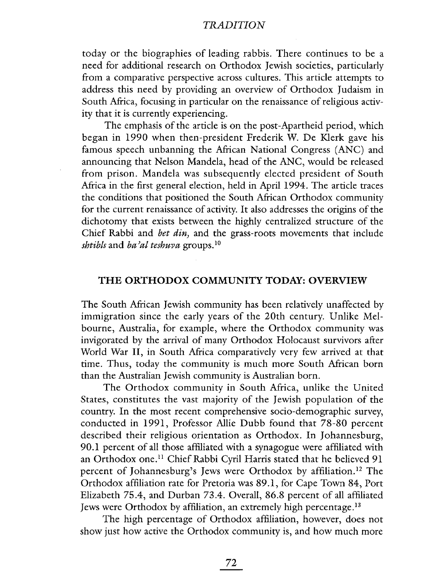today or the biographies of leading rabbis. There continues to be a need for additional research on Orthodox Jewish societies, particularly from a comparative perspective across cultures. This article attempts to address this need by providing an overview of Orthodox Judaism in South Mrica, focusing in particular on the renaissance of religious activity that it is currently experiencing.

The emphasis of the article is on the post-Apartheid period, which began in 1990 when then-president Frederik W. De Klerk gave his famous speech unbanning the African National Congress (ANC) and announcing that Nelson Mandela, head of the ANC, would be released from prison. Mandela was subsequently elected president of South Africa in the first general election, held in April 1994. The article traces the conditions that positioned the South Mrican Orthodox community for the current renaissance of activity. It also addresses the origins of the dichotomy that exists between the highly centralized structure of the Chief Rabbi and *bet din*, and the grass-roots movements that include *shtibls* and *ba'al teshuva* groups.<sup>10</sup>

#### THE ORTHODOX COMMUNITY TODAY: OVERVIEW

The South Mrican Jewish community has been relatively unaffected by immigration since the early years of the 20th century. Unlike Melbourne, Australia, for example, where the Orthodox community was invigorated by the arrival of many Orthodox Holocaust survivors after World War II, in South Africa comparatively very few arrived at that time. Thus, today the community is much more South Mrican born than the Australian Jewish community is Australian born.

The Orthodox community in South Africa, unlike the United States, constitutes the vast majority of the Jewish population of the country. In the most recent comprehensive socio-demographic survey, conducted in 1991, Professor Allie Dubb found that 78-80 percent described their religious orientation as Orthodox. In Johannesburg, 90.1 percent of all those affiliated with a synagogue were affiliated with an Orthodox one.<sup>11</sup> Chief Rabbi Cyril Harris stated that he believed 91 percent of Johannesburg's Jews were Orthodox by affiliation.12 The Orthodox affiliation rate for Pretoria was 89.1, for Cape Town 84, Port Elizabeth 75.4, and Durban 73.4. Overall, 86.8 percent of all affiliated Jews were Orthodox by affiiation, an extremely high percenrage.13

The high percentage of Orthodox affiliation, however, does not show just how active the Orthodox community is, and how much more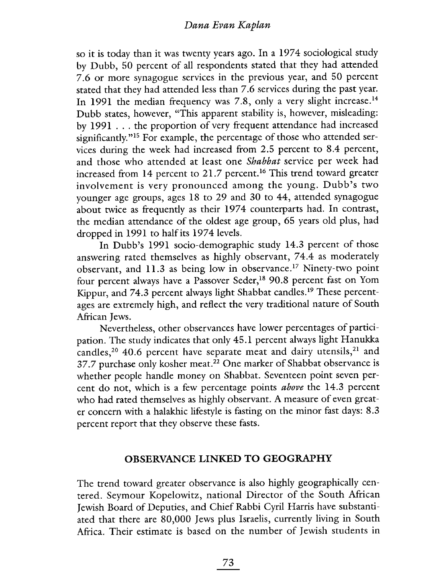so it is today than it was twenty years ago. In a 1974 sociological study by Dubb, 50 percent of all respondents stated that they had attended 7.6 or more synagogue services in the previous year, and 50 percent stated that they had attended less than 7.6 services during the past year. In 1991 the median frequency was 7.8, only a very slight increase.<sup>14</sup> Dubb states, however, "This apparent stability is, however, misleading: by 1991 . . . the proportion of very frequent attendance had increased significantly.<sup>"15</sup> For example, the percentage of those who attended services during the week had increased from 2.5 percent to 8.4 percent, and those who attended at least one Shabbat service per week had increased from 14 percent to 21.7 percent.<sup>16</sup> This trend toward greater involvement is very pronounced among the young. Dubb's two younger age groups, ages 18 to 29 and 30 to 44, attended synagogue about twice as frequently as their 1974 counterparts had. In contrast, the median attendance of the oldest age group, 65 years old plus, had dropped in 1991 to half its 1974 levels.

In Dubb's 1991 socio-demographic study 14.3 percent of those answering rated themselves as highly observant, 74.4 as moderately observant, and 11.3 as being low in observance.17 Ninety-two point four percent always have a Passover Seder,<sup>18</sup> 90.8 percent fast on Yom Kippur, and 74.3 percent always light Shabbat candles.19 These percentages are extremely high, and reflect the very traditional nature of South Afican Jews.

Nevertheless, other observances have lower percentages of participation. The study indicates that only 45.1 percent always light Hanukka candles,<sup>20</sup> 40.6 percent have separate meat and dairy utensils,<sup>21</sup> and 37.7 purchase only kosher meat.<sup>22</sup> One marker of Shabbat observance is whether people handle money on Shabbat. Seventeen point seven percent do not, which is a few percentage points above the 14.3 percent who had rated themselves as highly observant. A measure of even greater concern with a halakhic lifestyle is fasting on the minor fast days: 8.3 percent report that they observe these fasts.

## OBSERVANCE LINKED TO GEOGRAPHY

The trend toward greater observance is also highly geographically centered. Seymour Kopelowitz, national Director of the South African Jewish Board of Deputies, and Chief Rabbi Cyril Harris have substantiated that there are 80,000 Jews plus Israelis, currently living in South Africa. Their estimate is based on the number of Jewish students in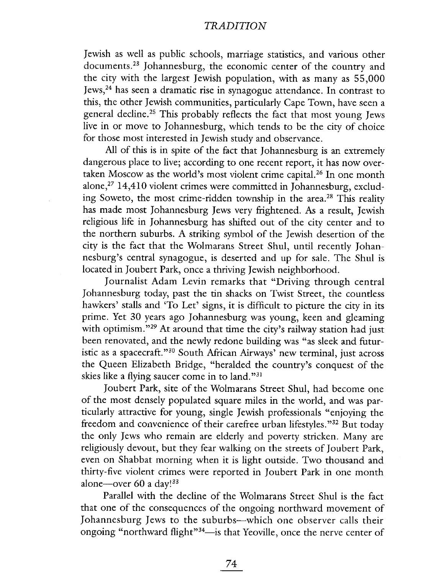Jewish as well as public schools, marriage statistics, and various other documents.23 Johannesburg, the economic center of the country and the city with the largest Jewish population, with as many as 55,000 Jews,24 has seen a dramatic rise in synagogue attendance. In contrast to this, the other Jewish communities, particularly Cape Town, have seen a general decline.25 This probably reflects the fact that most young Jews live in or move to Johannesburg, which tends to be the city of choice for those most interested in Jewish study and observance.

All of this is in spite of the fact that Johannesburg is an extremely dangerous place to live; according to one recent report, it has now overtaken Moscow as the world's most violent crime capita1.26 In one month alone,27 14,410 violent crimes were committed in Johannesburg, excluding Soweto, the most crime-ridden township in the area.<sup>28</sup> This reality has made most Johannesburg Jews very frightened. As a result, Jewish religious life in Johannesburg has shifted out of the city center and to the northern suburbs. A striking symbol of the Jewish desertion of the city is the fact that the Wolmarans Street Shul, until recently Johannesburg's central synagogue, is deserted and up for sale. The Shul is located in Joubert Park, once a thriving Jewish neighborhood.

Journalist Adam Levin remarks that "Driving through central Johannesburg today, past the tin shacks on Twist Street, the countless hawkers' stalls and 'To Let' signs, it is difficult to picture the city in its prime. Yet 30 years ago Johannesburg was young, keen and gleaming with optimism."<sup>29</sup> At around that time the city's railway station had just been renovated, and the newly redone building was "as sleek and futuristic as a spacecraft. "30 South Mrican Airways' new terminal, just across the Queen Elizabeth Bridge, "heralded the country's conquest of the skies like a flying saucer come in to land. "31

Joubert Park, site of the Wolmarans Street Shul, had become one of the most densely populated square miles in the world, and was particularly attractive for young, single Jewish professionals "enjoying the freedom and convenience of their carefree urban lifestyles. "32 But today the only Jews who remain are elderly and poverty stricken. Many are religiously devout, but they fear walking on the streets of Joubert Park, even on Shabbat morning when it is light outside. Two thousand and thirty-five violent crimes were reported in Joubert Park in one month alone-over 60 a day! $33$ 

Parallel with the decline of the Wolmarans Street Shul is the fact that one of the consequences of the ongoing northward movement of Johannesburg Jews to the suburbs--which one observer calls their ongoing "northward flight"<sup>34</sup>-is that Yeoville, once the nerve center of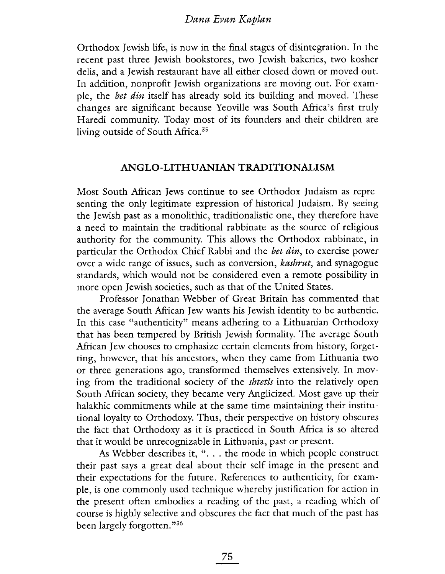Orthodox Jewish life, is now in the final stages of disintegration. In the recent past three Jewish bookstores, two Jewish bakeries, two kosher delis, and a Jewish restaurant have all either closed down or moved out. In addition, nonprofit Jewish organizations are moving out. For example, the bet din itself has already sold its building and moved. These changes are significant because Yeovile was South Africa's first truly Haredi community. Today most of its founders and their children are living outside of South Africa.<sup>35</sup>

#### ANGLO-LITHUANIAN TRADITIONALISM

Most South Mrican Jews continue to see Orthodox Judaism as representing the only legitimate expression of historical Judaism. By seeing the Jewish past as a monolithic, traditionalistic one, they therefore have a need to maintain the traditional rabbinate as the source of religious authority for the community. This allows the Orthodox rabbinate, in particular the Orthodox Chief Rabbi and the bet din, to exercise power over a wide range of issues, such as conversion, *kashrut*, and synagogue standards, which would not be considered even a remote possibility in more open Jewish societies, such as that of the United States.

Professor Jonathan Webber of Great Britain has commented that the average South Mrican Jew wants his Jewish identity to be authentic. In this case "authenticity" means adhering to a Lithuanian Orthodoxy that has been tempered by British Jewish formality. The average South African Jew chooses to emphasize certain elements from history, forgetting, however, that his ancestors, when they came from Lithuania two or three generations ago, transformed themselves extensively. In moving from the traditional society of the shtetls into the relatively open South Mrican society, they became very Anglicized. Most gave up their halakhic commitments while at the same time maintaining their institutional loyalty to Orthodoxy. Thus, their perspective on history obscures the fact that Orthodoxy as it is practiced in South Mrica is so altered that it would be unrecognizable in Lithuania, past or present.

As Webber describes it, ". . . the mode in which people construct their past says a great deal about their self image in the present and their expectations for the future. References to authenticity, for example, is one commonly used technique whereby justification for action in the present often embodies a reading of the past, a reading which of course is highly selective and obscures the fact that much of the past has been largely forgotten. "36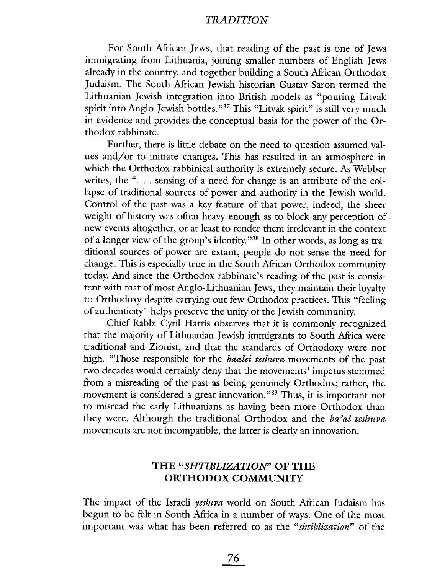For South Mrican Jews, that reading of the past is one of Jews immigrating from Lithuania, joining smaller numbers of English Jews already in the country, and together building a South African Orthodox Judaism. The South Mrican Jewish historian Gustav Saron termed the Lithuanian Jewish integration into British models as "pouring Litvak spirit into Anglo-Jewish bottles. "37 This "Litvak spirit" is still very much in evidence and provides the conceptual basis for the power of the Orthodox rabbinate.

Further, there is little debate on the need to question assumed values and/or to initiate changes. This has resulted in an atmosphere in which the Orthodox rabbinical authority is extremely secure. As Webber writes, the "... sensing of a need for change is an attribute of the collapse of traditional sources of power and authority in the Jewish world. Control of the past was a key feature of that power, indeed, the sheer weight of history was often heavy enough as to block any perception of new events altogether, or at least to render them irrelevant in the context of a longer view of the group's identity. "38 In other words, as long as traditional sources of power are extant, people do not sense the need for change. This is especially true in the South African Orthodox community today. And since the Orthodox rabbinate's reading of the past is consistent with that of most Anglo-Lithuanian Jews, they maintain their loyalty to Orthodoxy despite carrying out few Orthodox practices. This "feeling of authenticity" helps preserve the unity of the Jewish community.

Chief Rabbi Cyril Harris observes that it is commonly recognized that the majority of Lithuanian Jewish immigrants to South Mrica were traditional and Zionist, and that the standards of Orthodoxy were not high. "Those responsible for the *baalei teshuva* movements of the past two decades would certainly deny that the movements' impetus stemmed from a misreading of the past as being genuinely Orthodox; rather, the movement is considered a great innovation."<sup>39</sup> Thus, it is important not to misread the early Lithuanians as having been more Orthodox than they were. Although the traditional Orthodox and the *ba'al teshuva* movements are not incompatible, the latter is clearly an innovation.

## THE "SHTIBLlZATION" OF THE ORTHODOX COMMUNITY

The impact of the Israeli yeshiva world on South African Judaism has begun to be felt in South Mrica in a number of ways. One of the most important was what has been referred to as the "shtiblization" of the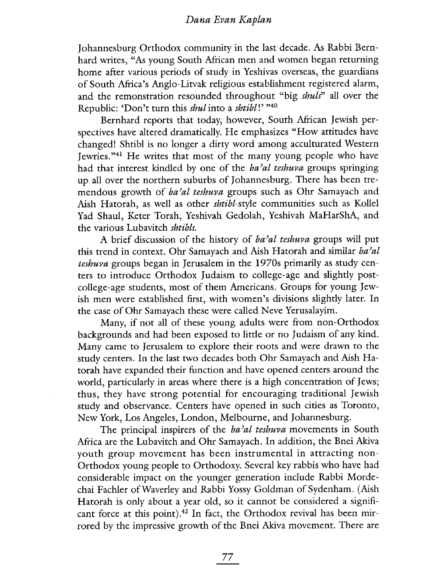Johannesburg Orthodox community in the last decade. As Rabbi Bernhard writes, "As young South African men and women began returning home after various periods of study in Yeshivas overseas, the guardians of South Mrica's Anglo-Litvak religious establishment registered alarm, and the remonstration resounded throughout "big *shuls*" all over the Republic: 'Don't turn this shul into a shtibl!' "40

Bernhard reports that today, however, South Mrican Jewish perspectives have altered dramatically. He emphasizes "How attitudes have changed! Shtibl is no longer a dirty word among acculturated Western Jewries."<sup>41</sup> He writes that most of the many young people who have had that interest kindled by one of the  $ba<sup>2</sup>al teshuva$  groups springing up all over the northern suburbs of Johannesburg. There has been tremendous growth of ba'al teshuva groups such as Ohr Samayach and Aish Hatorah, as well as other shtibl-style communities such as Kollel Yad Shaul, Keter Torah, Yeshivah Gedolah, Yeshivah MaHarShA, and the various Lubavitch shtibls.

A brief discussion of the history of  $ba<sup>2</sup>al teshuva$  groups will put this trend in context. Ohr Samayach and Aish Hatorah and similar ba'al teshuva groups began in Jerusalem in the 1970s primarily as study centers to introduce Orthodox Judaism to college-age and slightly postcollege-age students, most of them Americans. Groups for young Jewish men were established first, with women's divisions slightly later. In the case of Ohr Samayach these were called Neve Yerusalayim.

Many, if not all of these young adults were from non-Orthodox backgrounds and had been exposed to little or no Judaism of any kind. Many came to Jerusalem to explore their roots and were drawn to the study centers. In the last two decades both Ohr Samayach and Aish Hatorah have expanded their function and have opened centers around the world, particularly in areas where there is a high concentration of Jews; thus, they have strong potential for encouraging traditional Jewish study and observance. Centers have opened in such cities as Toronto, New York, Los Angeles, London, Melbourne, and Johannesburg.

The principal inspirers of the  $ba'ab$  teshuva movements in South Mrica are the Lubavitch and Ohr Samayach. In addition, the Bnei Akva youth group movement has been instrumental in attracting non-Orthodox young people to Orthodoxy. Several key rabbis who have had considerable impact on the younger generation include Rabbi Mordechai Fachler of Waverley and Rabbi Yossy Goldman of Sydenham. (Aish Hatorah is only about a year old, so it cannot be considered a significant force at this point).<sup>42</sup> In fact, the Orthodox revival has been mirrored by the impressive growth of the Bnei Akva movement. There are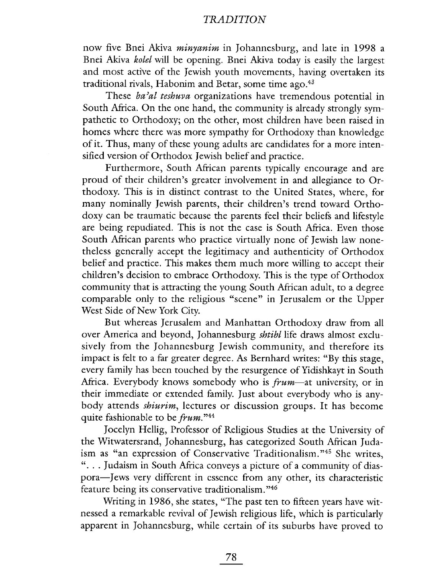now five Bnei Akiva minyanim in Johannesburg, and late in 1998 a Bnei Akiva kolel will be opening. Bnei Akiva today is easily the largest and most active of the Jewish youth movements, having overtaken its traditional rivals, Habonim and Betar, some time ago.<sup>43</sup>

These ba'al teshuva organizations have tremendous potential in South Africa. On the one hand, the community is already strongly sympathetic to Orthodoxy; on the other, most children have been raised in homes where there was more sympathy for Orthodoxy than knowledge of it. Thus, many of these young adults are candidates for a more intensified version of Orthodox Jewish belief and practice.

Furthermore, South African parents typically encourage and are proud of their children's greater involvement in and allegiance to Orthodoxy. This is in distinct contrast to the United States, where, for many nominally Jewish parents, their children's trend toward Orthodoxy can be traumatic because the parents feel their beliefs and lifestyle are being repudiated. This is not the case is South Mrica. Even those South African parents who practice virtually none of Jewish law nonetheless generally accept the legitimacy and authenticity of Orthodox belief and practice. This makes them much more wiling to accept their children's decision to embrace Orthodoxy. This is the type of Orthodox community that is attracting the young South African adult, to a degree comparable only to the religious "scene" in Jerusalem or the Upper West Side of New York City.

But whereas Jerusalem and Manhattan Orthodoxy draw from all over America and beyond, Johannesburg *shtibl* life draws almost exclusively from the Johannesburg Jewish community, and therefore its impact is felt to a far greater degree. As Bernhard writes: "By this stage, every family has been touched by the resurgence of Yidishkayt in South Africa. Everybody knows somebody who is  $f\nu m$ —at university, or in their immediate or extended family. Just about everybody who is anybody attends shiurim, lectures or discussion groups. It has become quite fashionable to be  $frum.^{n_{44}}$ 

Jocelyn Hellg, Professor of Religious Studies at the University of the Witwatersrand, Johannesburg, has categorized South Mrican Judaism as "an expression of Conservative Traditionalism. "45 She writes, ". . . Judaism in South Mrica conveys a picture of a community of diaspora-Jews very diffcrcnt in csscncc from any other, its characteristic feature being its conservative traditionalism. "46

Writing in 1986, she states, "The past ten to fifteen years have witnessed a remarkable revival of Jewish religious life, which is particularly apparent in Johannesburg, while certain of its suburbs have proved to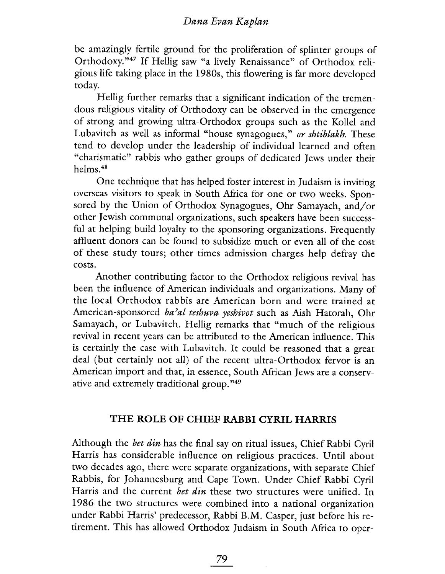be amazingly fertile ground for the proliferation of splinter groups of Orthodoxy."<sup>47</sup> If Hellig saw "a lively Renaissance" of Orthodox religious life taking place in the 1980s, this flowering is far more developed today.

Hellig further remarks that a significant indication of the tremendous religious vitality of Orthodoxy can be observed in the emergence of strong and growing ultra-Orthodox groups such as the Kollel and Lubavitch as well as informal "house synagogues," or shtiblakh. These tend to develop under the leadership of individual learned and often "charismatic" rabbis who gather groups of dedicated Jews under their helms.48

One technique that has helped foster interest in Judaism is inviting overseas visitors to speak in South Mrica for one or two weeks. Sponsored by the Union of Orthodox Synagogues, Ohr Samayach, and/or other Jewish communal organizations, such speakers have been successful at helping build loyalty to the sponsoring organizations. Frequently affluent donors can be found to subsidize much or even all of the cost of these study tours; other times admission charges help defray the costs.

Another contributing factor to the Orthodox religious revival has been the influence of American individuals and organizations. Many of the local Orthodox rabbis are American born and were trained at American-sponsored ba'al teshuva yeshivot such as Aish Hatorah, Ohr Samayach, or Lubavitch. Hellig remarks that "much of the religious revival in recent years can be attributed to the American influence. This is certainly the case with Lubavitch. It could be reasoned that a great deal (but certainly not all) of the recent ultra-Orthodox fervor is an American import and that, in essence, South Afican Jews are a conservative and extremely traditional group. "49

#### THE ROLE OF CHIEF RABBI CYRIL HARRIS

Although the *bet din* has the final say on ritual issues, Chief Rabbi Cyril Harris has considerable influence on religious practices. Until about two decades ago, there were separate organizations, with separate Chief Rabbis, for Johannesburg and Cape Town. Under Chief Rabbi Cyril Harris and the current bet din these two structures were unified. In 1986 the two structures were combined into a national organization under Rabbi Harris' predecessor, Rabbi B.M. Casper, just before his retirement. This has allowed Orthodox Judaism in South Mrica to oper-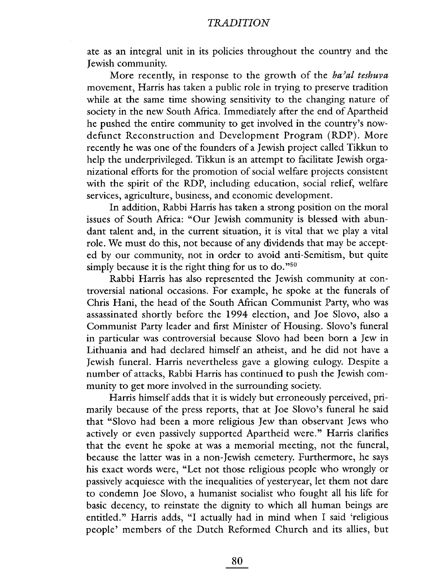ate as an integral unit in its policies throughout the country and the Jewish community.

More recently, in response to the growth of the ba'al teshuva movement, Harris has taken a public role in trying to preserve tradition while at the same time showing sensitivity to the changing nature of society in the new South Africa. Immediately after the end of Apartheid he pushed the entire community to get involved in the country's nowdefunct Reconstruction and Development Program (RDP). More recently he was one of the founders of a Jewish project called Tikkun to help the underprivileged. Tikkun is an attempt to facilitate Jewish organizational efforts for the promotion of social welfare projects consistent with the spirit of the RDP, including education, social relief, welfare services, agriculture, business, and economic development.

In addition, Rabbi Harris has taken a strong position on the moral issues of South Mrica: "Our Jewish community is blessed with abundant talent and, in the current situation, it is vital that we play a vital role. We must do this, not because of any dividends that may be accepted by our community, not in order to avoid anti-Semitism, but quite simply because it is the right thing for us to do."<sup>50</sup>

Rabbi Harris has also represented the Jewish community at controversial national occasions. For example, he spoke at the funerals of Chris Hani, the head of the South Mrican Communist Party, who was assassinated shortly before the 1994 election, and Joe Slovo, also a Communist Party leader and first Minister of Housing. Slovo's funeral in particular was controversial because Slovo had been born a Jew in Lithuania and had declared himself an atheist, and he did not have a Jewish funeral. Harris nevertheless gave a glowing eulogy. Despite a number of attacks, Rabbi Harris has continued to push the Jewish community to get more involved in the surrounding society.

Harris himself adds that it is widely but erroneously perceived, primarily because of the press reports, that at Joe Slovo's funeral he said that "Slovo had been a more religious Jew than observant Jews who actively or even passively supported Apartheid were." Harris clarifies that the event he spoke at was a memorial meeting, not the funeral, because the latter was in a non-Jewish cemetery. Furthermore, he says his exact words were, "Let not those religious people who wrongly or passively acquiesce with the inequalities of yesteryear, let them not dare to condemn Joe Slovo, a humanist socialist who fought all his life for basic decency, to reinstate the dignity to which all human beings are entitled." Harris adds, "I actually had in mind when I said 'religious people' members of the Dutch Reformed Church and its allies, but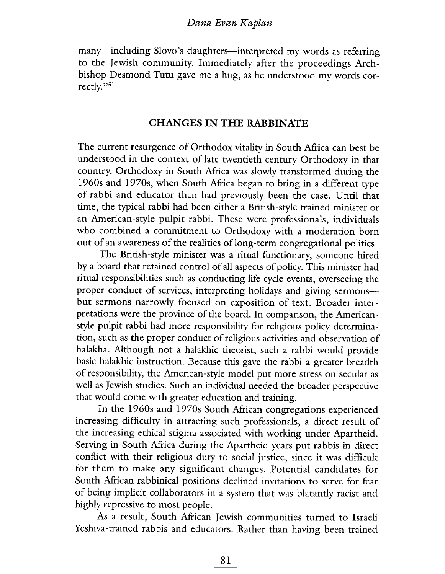many-including Slovo's daughters-interpreted my words as referring to the Jewish community. Immediately after the proceedings Archbishop Desmond Tutu gave me a hug, as he understood my words correctly."51

## CHANGES IN THE RABBINATE

The current resurgence of Orthodox vitality in South Mrica can best be understood in the context of late twentieth-century Orthodoxy in that country. Orthodoxy in South Mrica was slowly transformed during the 1960s and 1970s, when South Mrica began to bring in a different type of rabbi and educator than had previously been the case. Until that time, the typical rabbi had been either a British-style trained minister or an American-style pulpit rabbi. These were professionals, individuals who combined a commitment to Orthodoxy with a moderation born out of an awareness of the realities of long-term congregational politics.

The British-style minister was a ritual functionary, someone hired by a board that retained control of all aspects of policy. This minister had ritual responsibilties such as conducting life cycle events, overseeing the proper conduct of services, interpreting holidays and giving sermonsbut sermons narrowly focused on exposition of text. Broader interpretations were the province of the board. In comparison, the Americanstyle pulpit rabbi had more responsibility for religious policy determination, such as the proper conduct of religious activities and observation of halakha. Although not a halakhic theorist, such a rabbi would provide basic halakhic instruction. Because this gave the rabbi a greater breadth of responsibility, the American-style model put more stress on secular as well as Jewish studies. Such an individual needed the broader perspective that would come with greater education and training.

In the 1960s and 1970s South Afican congregations experienced increasing difficulty in attracting such professionals, a direct result of the increasing ethical stigma associated with working under Apartheid. Serving in South Africa during the Apartheid years put rabbis in direct conflict with their religious duty to social justice, since it was difficult for them to make any significant changes. Potential candidates for South Mrican rabbinical positions declined invitations to serve for fear of being implicit collaborators in a system that was blatantly racist and highly repressive to most people.

As a result, South Mrican Jewish communities turned to Israeli Yeshiva-trained rabbis and educators. Rather than having been trained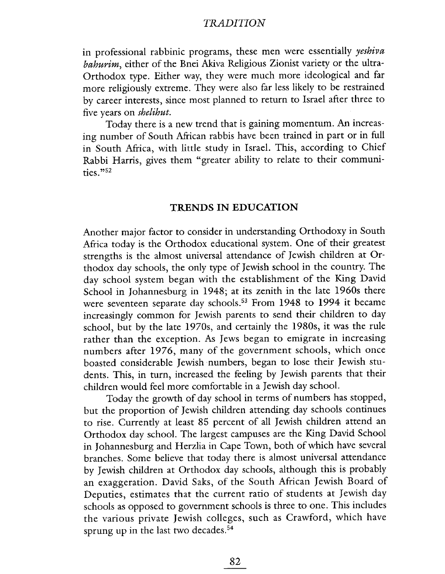in professional rabbinic programs, these men were essentially yeshiva bahurim, either of the Bnei Akiva Religious Zionist variety or the ultra-Orthodox type. Either way, they were much more ideological and far more religiously extreme. They were also far less likely to be restrained by career interests, since most planned to return to Israel after three to five years on shelihut.

Today there is a new trend that is gaining momentum. An increasing number of South Mrican rabbis have been trained in part or in full in South Africa, with little study in IsraeL. This, according to Chief Rabbi Harris, gives them "greater ability to relate to their communities. "52

### TRENDS IN EDUCATION

Another major factor to consider in understanding Orthodoxy in South Africa today is the Orthodox educational system. One of their greatest strengths is the almost universal attendance of Jewish children at Orthodox day schools, the only type of Jewish school in the country. The day school system began with the establishment of the King David School in Johannesburg in 1948; at its zenith in the late 1960s there were seventeen separate day schools.<sup>53</sup> From 1948 to 1994 it became increasingly common for Jewish parents to send their children to day school, but by the late 1970s, and certainly the 1980s, it was the rule rather than the exception. As Jews began to emigrate in increasing numbers after 1976, many of the government schools, which once boasted considerable Jewish numbers, began to lose their Jewish students. This, in turn, increased the feeling by Jewish parents that their children would feel more comfortable in a Jewish day schooL.

Today the growth of day school in terms of numbers has stopped, but the proportion of Jewish children attending day schools continues to rise. Currently at least 85 percent of all Jewish children attend an Orthodox day schooL. The largest campuses are the King David School in Johannesburg and Herzlia in Cape Town, both of which have several branches. Some believe that today there is almost universal attendance by Jewish children at Orthodox day schools, although this is probably an exaggeration. David Saks, of the South African Jewish Board of Deputies, estimates that the current ratio of students at Jewish day schools as opposed to government schools is three to one. This includes the various private Jewish colleges, such as Crawford, which have sprung up in the last two decades.<sup>54</sup>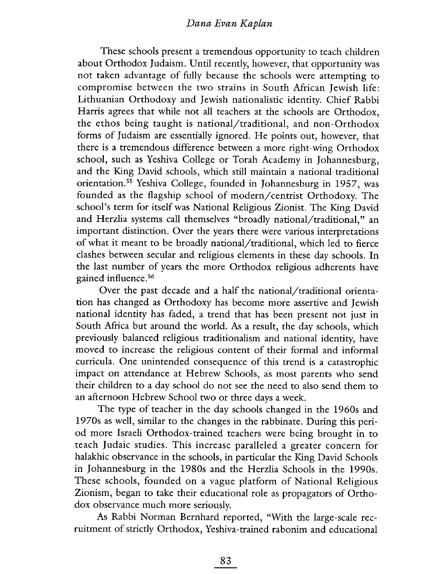These schools present a tremendous opportunity to teach children about Orthodox Judaism. Until recently, however, that opportunity was not taken advantage of fully because the schools were attempting to compromise between the two strains in South African Jewish life: Lithuanian Orthodoxy and Jewish nationalistic identity. Chief Rabbi Harris agrees that while not all teachers at the schools are Orthodox, the ethos being taught is national/traditional, and non-Orthodox forms of Judaism are essentially ignored. He points out, however, that there is a tremendous difference between a more right-wing Orthodox school, such as Yeshiva College or Torah Academy in Johannesburg, and the King David schools, which still maintain a national-traditional orientation.55 Yeshiva College, founded in Johannesburg in 1957, was founded as the flagship school of modern/centrist Orthodoxy. The school's term for itself was National Religious Zionist. The King David and Herzlia systems call themselves "broadly national/traditional," an important distinction. Over the years there were various interpretations of what it meant to be broadly national/traditional, which led to fierce clashes between secular and religious elements in these day schools. In the last number of years the more Orthodox religious adherents have gained influence. 56

Over the past decade and a half the national/traditional orientation has changed as Orthodoxy has become more assertive and Jewish national identity has faded, a trend that has been present not just in South Africa but around the world. As a result, the day schools, which previously balanced religious traditionalism and national identity, have moved to increase the religious content of their formal and informal curricula. One unintended consequence of this trend is a catastrophic impact on attendance at Hebrew Schools, as most parents who send their children to a day school do not see the need to also send them to an afternoon Hebrew School two or three days a week.

The type of teacher in the day schools changed in the 1960s and 1970s as well, similar to the changes in the rabbinate. During this period more Israeli Orthodox-trained teachers were being brought in to teach Judaic studies. This increase paralleled a greater concern for halakhic observance in the schools, in particular the King David Schools in Johannesburg in the 1980s and the Herzlia Schools in the 1990s. These schools, founded on a vague platform of National Religious Zionism, began to take their educational role as propagators of Orthodox observance much more seriously.

As Rabbi Norman Bernhard reported, "With the large-scale recruitment of strictly Orthodox, Yeshiva-trained rabonim and educational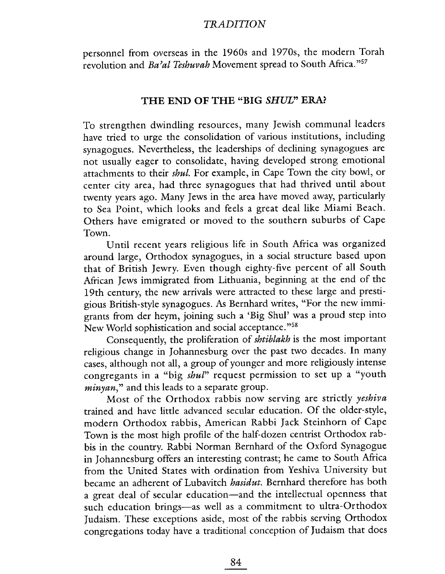personnel from overseas in the 1960s and 1970s, the modern Torah revolution and Ba'al Teshuvah Movement spread to South Africa."57

## THE END OF THE "BIG SHUL" ERA?

To strengthen dwindling resources, many Jewish communal leaders have tried to urge the consolidation of various institutions, including synagogues. Nevertheless, the leaderships of declining synagogues are not usually eager to consolidate, having developed strong emotional attachments to their shul. For example, in Cape Town the city bowl, or center city area, had three synagogues that had thrived until about twenty years ago. Many Jews in the area have moved away, particularly to Sea Point, which looks and feels a great deal like Miami Beach. Others have emigrated or moved to the southern suburbs of Cape Town.

Until recent years religious life in South Africa was organized around large, Orthodox synagogues, in a social structure based upon that of British Jewry. Even though eighty-five percent of all South Afican Jews immigrated from Lithuania, beginning at the end of the 19th century, the new arrivals were attracted to these large and prestigious British-style synagogues. As Bernhard writes, "For the new immigrants from der heym, joining such a 'Big Shul' was a proud step into New World sophistication and social acceptance. "58

Consequently, the proliferation of shtiblakh is the most important religious change in Johannesburg over the past two decades. In many cases, although not all, a group of younger and more religiously intense congregants in a "big shul" request permission to set up a "youth minyan," and this leads to a separate group.

Most of the Orthodox rabbis now serving are strictly yeshiva trained and have little advanced secular education. Of the older-style, modern Orthodox rabbis, American Rabbi Jack Steinhorn of Cape Town is the most high profile of the half-dozen centrist Orthodox rabbis in the country. Rabbi Norman Bernhard of the Oxford Synagogue in Johannesburg offers an interesting contrast; he came to South Mrica from the United States with ordination from Yeshiva University but became an adherent of Lubavitch *hasidut*. Bernhard therefore has both a great deal of secular education-and the intellectual openness that such education brings-as well as a commitment to ultra-Orthodox Judaism. These exceptions aside, most of the rabbis serving Orthodox congregations today have a traditional conception of Judaism that does